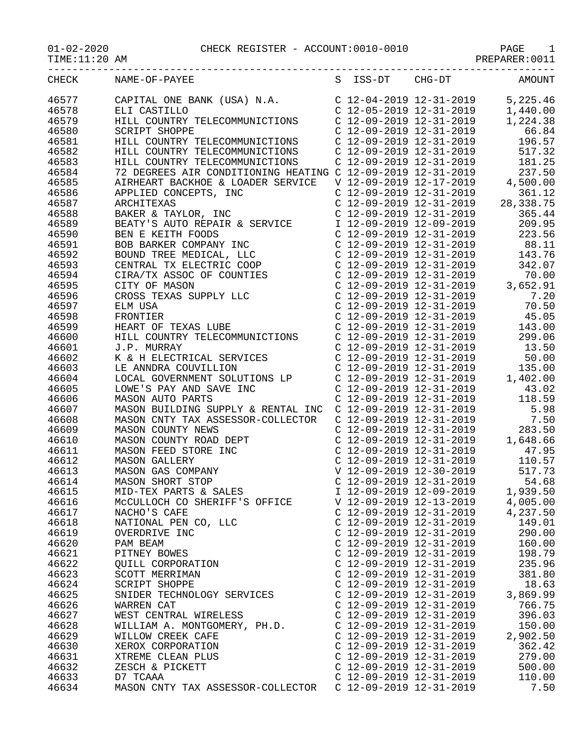----------------------------------------------------------------------------------- CHECK NAME-OF-PAYEE S ISS-DT CHG-DT AMOUNT 46577 CAPITAL ONE BANK (USA) N.A. C 12-04-2019 12-31-2019 5,225.46 46578 ELI CASTILLO C 12-05-2019 12-31-2019 1,440.00 46579 HILL COUNTRY TELECOMMUNICTIONS C 12-09-2019 12-31-2019 1,224.38 46580 SCRIPT SHOPPE C 12-09-2019 12-31-2019 66.84 46581 HILL COUNTRY TELECOMMUNICTIONS C 12-09-2019 12-31-2019 196.57 46582 HILL COUNTRY TELECOMMUNICTIONS C 12-09-2019 12-31-2019 517.32 46583 HILL COUNTRY TELECOMMUNICTIONS C 12-09-2019 12-31-2019 181.25 46584 72 DEGREES AIR CONDITIONING HEATING C 12-09-2019 12-31-2019 237.50 46585 AIRHEART BACKHOE & LOADER SERVICE V 12-09-2019 12-17-2019 4,500.00 46586 APPLIED CONCEPTS, INC C 12-09-2019 12-31-2019 361.12 46587 ARCHITEXAS C 12-09-2019 12-31-2019 28,338.75 46588 BAKER & TAYLOR, INC C 12-09-2019 12-31-2019 365.44 46589 BEATY'S AUTO REPAIR & SERVICE I 12-09-2019 12-09-2019 209.95 46590 BEN E KEITH FOODS C 12-09-2019 12-31-2019 223.56 46591 BOB BARKER COMPANY INC C 12-09-2019 12-31-2019 88.11 46592 BOUND TREE MEDICAL, LLC C 12-09-2019 12-31-2019 143.76 46593 CENTRAL TX ELECTRIC COOP C 12-09-2019 12-31-2019 342.07 46594 CIRA/TX ASSOC OF COUNTIES C 12-09-2019 12-31-2019 70.00 46595 CITY OF MASON C 12-09-2019 12-31-2019 3,652.91 46596 CROSS TEXAS SUPPLY LLC C 12-09-2019 12-31-2019 7.20 46597 ELM USA C 12-09-2019 12-31-2019 70.50 46598 FRONTIER C 12-09-2019 12-31-2019 45.05 46599 HEART OF TEXAS LUBE C 12-09-2019 12-31-2019 143.00 46600 HILL COUNTRY TELECOMMUNICTIONS C 12-09-2019 12-31-2019 299.06 46601 J.P. MURRAY C 12-09-2019 12-31-2019 13.50 46602 K & H ELECTRICAL SERVICES C 12-09-2019 12-31-2019 50.00 46603 LE ANNDRA COUVILLION C 12-09-2019 12-31-2019 135.00 46604 LOCAL GOVERNMENT SOLUTIONS LP C 12-09-2019 12-31-2019 1,402.00 46605 LOWE'S PAY AND SAVE INC C 12-09-2019 12-31-2019 43.02 46606 MASON AUTO PARTS C 12-09-2019 12-31-2019 118.59 46607 MASON BUILDING SUPPLY & RENTAL INC C 12-09-2019 12-31-2019 5.98 46608 MASON CNTY TAX ASSESSOR-COLLECTOR C 12-09-2019 12-31-2019 7.50 46609 MASON COUNTY NEWS C 12-09-2019 12-31-2019 283.50 46610 MASON COUNTY ROAD DEPT C 12-09-2019 12-31-2019 1,648.66 46611 MASON FEED STORE INC C 12-09-2019 12-31-2019 47.95 46612 MASON GALLERY C 12-09-2019 12-31-2019 110.57 46613 MASON GAS COMPANY V 12-09-2019 12-30-2019 517.73 46614 MASON SHORT STOP C 12-09-2019 12-31-2019 54.68 46615 MID-TEX PARTS & SALES I 12-09-2019 12-09-2019 1,939.50 46616 McCULLOCH CO SHERIFF'S OFFICE V 12-09-2019 12-13-2019 4,005.00 46617 NACHO'S CAFE C 12-09-2019 12-31-2019 4,237.50 46618 NATIONAL PEN CO, LLC C 12-09-2019 12-31-2019 149.01 46619 OVERDRIVE INC C 12-09-2019 12-31-2019 290.00 46620 PAM BEAM C 12-09-2019 12-31-2019 160.00 46621 PITNEY BOWES C 12-09-2019 12-31-2019 198.79 46622 QUILL CORPORATION C 12-09-2019 12-31-2019 235.96 46623 SCOTT MERRIMAN C 12-09-2019 12-31-2019 381.80 46624 SCRIPT SHOPPE C 12-09-2019 12-31-2019 18.63 46625 SNIDER TECHNOLOGY SERVICES C 12-09-2019 12-31-2019 3,869.99 46626 WARREN CAT C 12-09-2019 12-31-2019 766.75 46627 WEST CENTRAL WIRELESS C 12-09-2019 12-31-2019 396.03 46628 WILLIAM A. MONTGOMERY, PH.D. C 12-09-2019 12-31-2019 150.00 46629 WILLOW CREEK CAFE CONSERVED C 12-09-2019 12-31-2019 2,902.50 46630 XEROX CORPORATION C 12-09-2019 12-31-2019 362.42 46631 XTREME CLEAN PLUS C 12-09-2019 12-31-2019 279.00 46632 ZESCH & PICKETT C 12-09-2019 12-31-2019 500.00 46633 D7 TCAAA C 12-09-2019 12-31-2019 110.00

46634 MASON CNTY TAX ASSESSOR-COLLECTOR C 12-09-2019 12-31-2019 7.50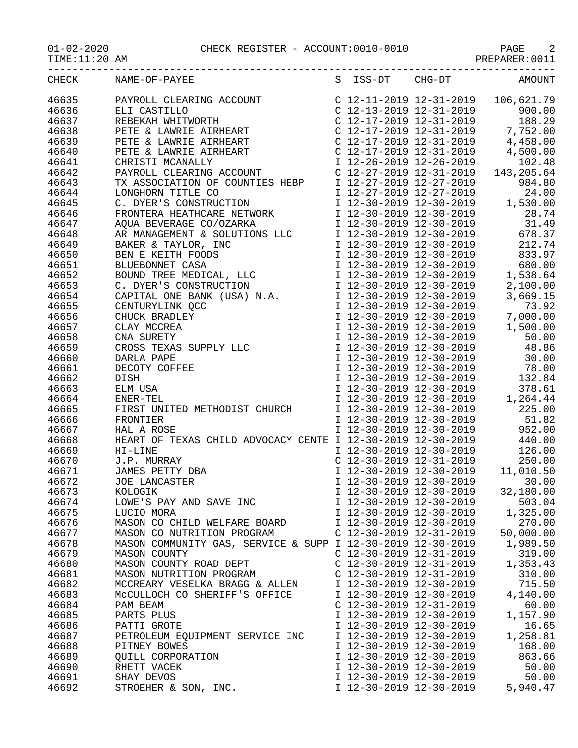01-02-2020 CHECK REGISTER - ACCOUNT:0010-0010 PAGE 2

|--|

|       | CHECK NAME-OF-PAYEE<br>$\begin{tabular}{ l c c c c c} {\bf NAMM} & {\bf NAMM} & {\bf S} & {\bf IS-S-DT} & {\bf C16-D1} & {\bf A000NF} \\ {\bf R1NROLL & {\bf CLEARING ACCONT} & {\bf C12-17-2019} 12-31-2019 & 166, 621.79 \\ {\bf R1L CASTILLD} & {\bf NAMNIS ATRIERART} & {\bf C12-17-2019} 12-31-2019 & 7,752.00 \\ {\bf PSTR & {\bf LAMNIS ATRIERART} & {\bf C12-17-2019} 12-31-20$ |                           |                           | S ISS-DT CHG-DT AMOUNT                                                                                                                                                                                 |
|-------|-----------------------------------------------------------------------------------------------------------------------------------------------------------------------------------------------------------------------------------------------------------------------------------------------------------------------------------------------------------------------------------------|---------------------------|---------------------------|--------------------------------------------------------------------------------------------------------------------------------------------------------------------------------------------------------|
| 46635 |                                                                                                                                                                                                                                                                                                                                                                                         |                           |                           |                                                                                                                                                                                                        |
| 46636 |                                                                                                                                                                                                                                                                                                                                                                                         |                           |                           |                                                                                                                                                                                                        |
|       |                                                                                                                                                                                                                                                                                                                                                                                         |                           |                           |                                                                                                                                                                                                        |
| 46637 |                                                                                                                                                                                                                                                                                                                                                                                         |                           |                           |                                                                                                                                                                                                        |
| 46638 |                                                                                                                                                                                                                                                                                                                                                                                         |                           |                           |                                                                                                                                                                                                        |
| 46639 |                                                                                                                                                                                                                                                                                                                                                                                         |                           |                           |                                                                                                                                                                                                        |
| 46640 |                                                                                                                                                                                                                                                                                                                                                                                         |                           |                           |                                                                                                                                                                                                        |
| 46641 |                                                                                                                                                                                                                                                                                                                                                                                         |                           |                           |                                                                                                                                                                                                        |
| 46642 |                                                                                                                                                                                                                                                                                                                                                                                         |                           |                           |                                                                                                                                                                                                        |
| 46643 |                                                                                                                                                                                                                                                                                                                                                                                         |                           |                           |                                                                                                                                                                                                        |
| 46644 |                                                                                                                                                                                                                                                                                                                                                                                         |                           |                           |                                                                                                                                                                                                        |
| 46645 |                                                                                                                                                                                                                                                                                                                                                                                         |                           |                           |                                                                                                                                                                                                        |
|       |                                                                                                                                                                                                                                                                                                                                                                                         |                           |                           |                                                                                                                                                                                                        |
| 46646 |                                                                                                                                                                                                                                                                                                                                                                                         |                           |                           |                                                                                                                                                                                                        |
| 46647 |                                                                                                                                                                                                                                                                                                                                                                                         |                           |                           |                                                                                                                                                                                                        |
| 46648 |                                                                                                                                                                                                                                                                                                                                                                                         |                           |                           |                                                                                                                                                                                                        |
| 46649 |                                                                                                                                                                                                                                                                                                                                                                                         |                           |                           |                                                                                                                                                                                                        |
| 46650 |                                                                                                                                                                                                                                                                                                                                                                                         |                           |                           |                                                                                                                                                                                                        |
| 46651 |                                                                                                                                                                                                                                                                                                                                                                                         |                           |                           |                                                                                                                                                                                                        |
| 46652 |                                                                                                                                                                                                                                                                                                                                                                                         |                           |                           |                                                                                                                                                                                                        |
| 46653 |                                                                                                                                                                                                                                                                                                                                                                                         |                           |                           |                                                                                                                                                                                                        |
| 46654 |                                                                                                                                                                                                                                                                                                                                                                                         |                           |                           |                                                                                                                                                                                                        |
|       |                                                                                                                                                                                                                                                                                                                                                                                         |                           |                           |                                                                                                                                                                                                        |
| 46655 |                                                                                                                                                                                                                                                                                                                                                                                         |                           |                           |                                                                                                                                                                                                        |
| 46656 |                                                                                                                                                                                                                                                                                                                                                                                         |                           |                           |                                                                                                                                                                                                        |
| 46657 |                                                                                                                                                                                                                                                                                                                                                                                         |                           |                           |                                                                                                                                                                                                        |
| 46658 |                                                                                                                                                                                                                                                                                                                                                                                         |                           |                           |                                                                                                                                                                                                        |
| 46659 |                                                                                                                                                                                                                                                                                                                                                                                         |                           |                           |                                                                                                                                                                                                        |
| 46660 |                                                                                                                                                                                                                                                                                                                                                                                         |                           |                           |                                                                                                                                                                                                        |
| 46661 |                                                                                                                                                                                                                                                                                                                                                                                         |                           |                           |                                                                                                                                                                                                        |
| 46662 |                                                                                                                                                                                                                                                                                                                                                                                         |                           |                           |                                                                                                                                                                                                        |
| 46663 |                                                                                                                                                                                                                                                                                                                                                                                         |                           |                           |                                                                                                                                                                                                        |
|       |                                                                                                                                                                                                                                                                                                                                                                                         |                           |                           |                                                                                                                                                                                                        |
| 46664 |                                                                                                                                                                                                                                                                                                                                                                                         |                           |                           |                                                                                                                                                                                                        |
| 46665 |                                                                                                                                                                                                                                                                                                                                                                                         |                           |                           |                                                                                                                                                                                                        |
| 46666 |                                                                                                                                                                                                                                                                                                                                                                                         |                           |                           |                                                                                                                                                                                                        |
| 46667 | HAL A ROSE                                                                                                                                                                                                                                                                                                                                                                              |                           |                           | I 12-30-2019 12-30-2019 952.00                                                                                                                                                                         |
| 46668 | HEART OF TEXAS CHILD ADVOCACY CENTE I 12-30-2019 12-30-2019                                                                                                                                                                                                                                                                                                                             |                           |                           | 440.00                                                                                                                                                                                                 |
| 46669 | HI-LINE                                                                                                                                                                                                                                                                                                                                                                                 |                           |                           | $\begin{tabular}{lllllllll} \texttt{I} & 12-30-2019 & 12-30-2019 & & 126.00 \\ \texttt{C} & 12-30-2019 & 12-31-2019 & & 250.00 \\ \texttt{I} & 12-30-2019 & 12-30-2019 & & 11,010.50 \\ \end{tabular}$ |
| 46670 | J.P. MURRAY                                                                                                                                                                                                                                                                                                                                                                             |                           |                           |                                                                                                                                                                                                        |
| 46671 | JAMES PETTY DBA                                                                                                                                                                                                                                                                                                                                                                         |                           |                           |                                                                                                                                                                                                        |
| 46672 | JOE LANCASTER                                                                                                                                                                                                                                                                                                                                                                           |                           | $I$ 12-30-2019 12-30-2019 | 30.00                                                                                                                                                                                                  |
|       |                                                                                                                                                                                                                                                                                                                                                                                         |                           |                           |                                                                                                                                                                                                        |
| 46673 | KOLOGIK                                                                                                                                                                                                                                                                                                                                                                                 | I 12-30-2019 12-30-2019   |                           | 32,180.00                                                                                                                                                                                              |
| 46674 | LOWE'S PAY AND SAVE INC                                                                                                                                                                                                                                                                                                                                                                 | I 12-30-2019 12-30-2019   |                           | 503.04                                                                                                                                                                                                 |
| 46675 | LUCIO MORA                                                                                                                                                                                                                                                                                                                                                                              | I 12-30-2019 12-30-2019   |                           | 1,325.00                                                                                                                                                                                               |
| 46676 | MASON CO CHILD WELFARE BOARD                                                                                                                                                                                                                                                                                                                                                            | I 12-30-2019 12-30-2019   |                           | 270.00                                                                                                                                                                                                 |
| 46677 | MASON CO NUTRITION PROGRAM                                                                                                                                                                                                                                                                                                                                                              | C 12-30-2019 12-31-2019   |                           | 50,000.00                                                                                                                                                                                              |
| 46678 | MASON COMMUNITY GAS, SERVICE & SUPP I 12-30-2019 12-30-2019                                                                                                                                                                                                                                                                                                                             |                           |                           | 1,989.50                                                                                                                                                                                               |
| 46679 | MASON COUNTY                                                                                                                                                                                                                                                                                                                                                                            | C 12-30-2019 12-31-2019   |                           | 319.00                                                                                                                                                                                                 |
| 46680 | MASON COUNTY ROAD DEPT                                                                                                                                                                                                                                                                                                                                                                  | $C$ 12-30-2019 12-31-2019 |                           | 1,353.43                                                                                                                                                                                               |
| 46681 | MASON NUTRITION PROGRAM                                                                                                                                                                                                                                                                                                                                                                 | C 12-30-2019 12-31-2019   |                           | 310.00                                                                                                                                                                                                 |
| 46682 |                                                                                                                                                                                                                                                                                                                                                                                         | I 12-30-2019 12-30-2019   |                           | 715.50                                                                                                                                                                                                 |
|       | MCCREARY VESELKA BRAGG & ALLEN                                                                                                                                                                                                                                                                                                                                                          |                           |                           |                                                                                                                                                                                                        |
| 46683 | MCCULLOCH CO SHERIFF'S OFFICE                                                                                                                                                                                                                                                                                                                                                           | I 12-30-2019 12-30-2019   |                           | 4,140.00                                                                                                                                                                                               |
| 46684 | PAM BEAM                                                                                                                                                                                                                                                                                                                                                                                | $C$ 12-30-2019 12-31-2019 |                           | 60.00                                                                                                                                                                                                  |
| 46685 | PARTS PLUS                                                                                                                                                                                                                                                                                                                                                                              | I 12-30-2019 12-30-2019   |                           | 1,157.90                                                                                                                                                                                               |
| 46686 | PATTI GROTE                                                                                                                                                                                                                                                                                                                                                                             | I 12-30-2019 12-30-2019   |                           | 16.65                                                                                                                                                                                                  |
| 46687 | PETROLEUM EQUIPMENT SERVICE INC                                                                                                                                                                                                                                                                                                                                                         | I 12-30-2019 12-30-2019   |                           | 1,258.81                                                                                                                                                                                               |
| 46688 | PITNEY BOWES                                                                                                                                                                                                                                                                                                                                                                            | I 12-30-2019 12-30-2019   |                           | 168.00                                                                                                                                                                                                 |
| 46689 | QUILL CORPORATION                                                                                                                                                                                                                                                                                                                                                                       | I 12-30-2019 12-30-2019   |                           | 863.66                                                                                                                                                                                                 |
| 46690 | RHETT VACEK                                                                                                                                                                                                                                                                                                                                                                             | I 12-30-2019 12-30-2019   |                           | 50.00                                                                                                                                                                                                  |
|       |                                                                                                                                                                                                                                                                                                                                                                                         |                           |                           |                                                                                                                                                                                                        |
| 46691 | SHAY DEVOS                                                                                                                                                                                                                                                                                                                                                                              | I 12-30-2019 12-30-2019   |                           | 50.00                                                                                                                                                                                                  |
| 46692 | STROEHER & SON, INC.                                                                                                                                                                                                                                                                                                                                                                    | I 12-30-2019 12-30-2019   |                           | 5,940.47                                                                                                                                                                                               |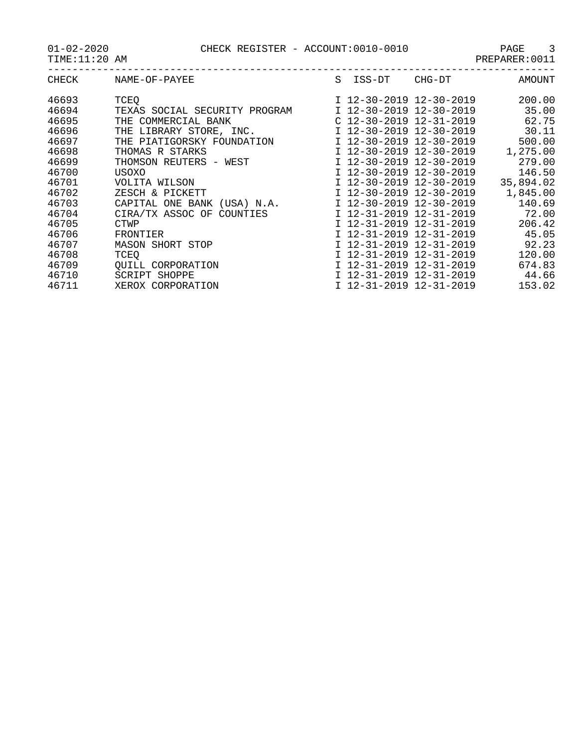01-02-2020 CHECK REGISTER - ACCOUNT:0010-0010 PAGE 3

| CHECK | NAME-OF-PAYEE                                         | S ISS-DT                  | CHG-DT                            | AMOUNT   |
|-------|-------------------------------------------------------|---------------------------|-----------------------------------|----------|
| 46693 | TCEO                                                  |                           | I 12-30-2019 12-30-2019           | 200.00   |
| 46694 | TEXAS SOCIAL SECURITY PROGRAM 1 12-30-2019 12-30-2019 |                           |                                   | 35.00    |
| 46695 | THE COMMERCIAL BANK                                   | $C$ 12-30-2019 12-31-2019 |                                   | 62.75    |
| 46696 | THE LIBRARY STORE, INC.                               |                           | I 12-30-2019 12-30-2019           | 30.11    |
| 46697 | THE PIATIGORSKY FOUNDATION                            |                           | I 12-30-2019 12-30-2019           | 500.00   |
| 46698 | THOMAS R STARKS                                       |                           | I 12-30-2019 12-30-2019           | 1,275.00 |
| 46699 | THOMSON REUTERS - WEST                                | I 12-30-2019 12-30-2019   |                                   | 279.00   |
| 46700 | USOXO                                                 |                           | I 12-30-2019 12-30-2019           | 146.50   |
| 46701 | VOLITA WILSON                                         |                           | I 12-30-2019 12-30-2019 35,894.02 |          |
| 46702 | ZESCH & PICKETT                                       |                           | I 12-30-2019 12-30-2019           | 1,845.00 |
| 46703 | CAPITAL ONE BANK (USA) N.A.                           |                           | I 12-30-2019 12-30-2019           | 140.69   |
| 46704 | CIRA/TX ASSOC OF COUNTIES                             |                           | I 12-31-2019 12-31-2019           | 72.00    |
| 46705 | <b>CTWP</b>                                           | I 12-31-2019 12-31-2019   |                                   | 206.42   |
| 46706 | FRONTIER                                              | I 12-31-2019 12-31-2019   |                                   | 45.05    |
| 46707 | <b>MASON SHORT STOP</b>                               |                           | I 12-31-2019 12-31-2019           | 92.23    |
| 46708 | TCEO                                                  | I 12-31-2019 12-31-2019   |                                   | 120.00   |
| 46709 | OUILL CORPORATION                                     | I 12-31-2019 12-31-2019   |                                   | 674.83   |
| 46710 | SCRIPT SHOPPE                                         |                           | I 12-31-2019 12-31-2019           | 44.66    |
| 46711 | XEROX CORPORATION                                     |                           | I 12-31-2019 12-31-2019           | 153.02   |
|       |                                                       |                           |                                   |          |